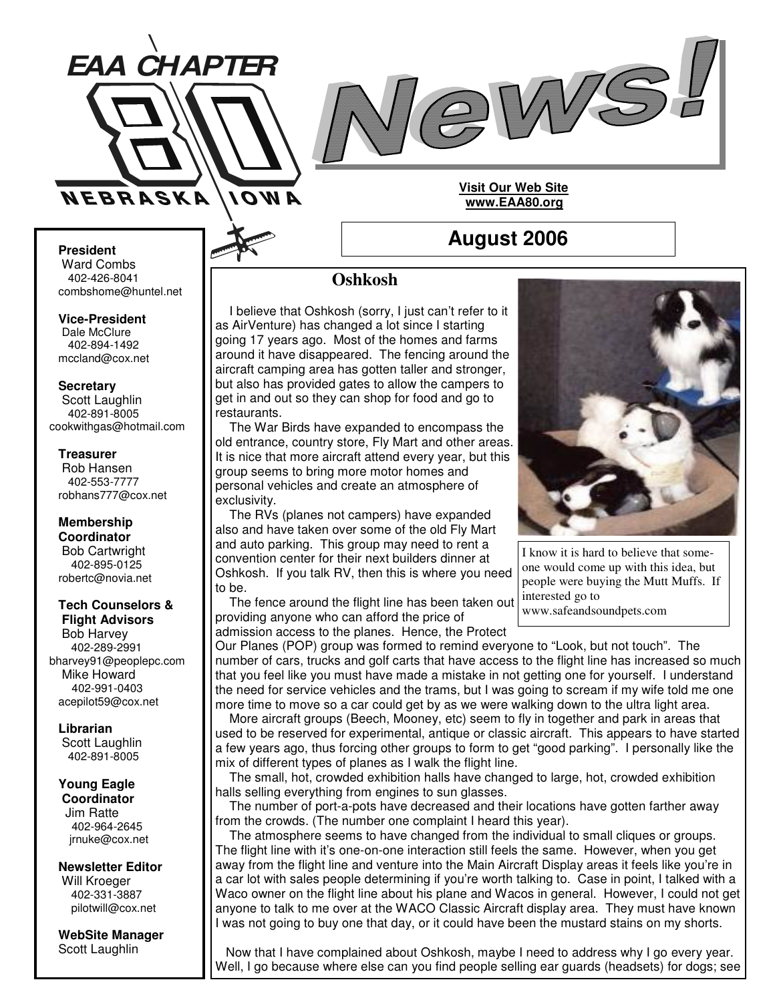



## **Visit Our Web Site www.EAA80.org**

**August 2006**

## **President**

Ward Combs 402-426-8041 combshome@huntel.net

**Vice-President** Dale McClure 402-894-1492

mccland@cox.net

### **Secretary**

Scott Laughlin 402-891-8005 cookwithgas@hotmail.com

#### **Treasurer**

Rob Hansen 402-553-7777 robhans777@cox.net

#### **Membership Coordinator** Bob Cartwright 402-895-0125 robertc@novia.net

### **Tech Counselors & Flight Advisors**

Bob Harvey 402-289-2991 bharvey91@peoplepc.com Mike Howard 402-991-0403 acepilot59@cox.net

**Librarian** Scott Laughlin 402-891-8005

#### **Young Eagle Coordinator** Jim Ratte

402-964-2645 jrnuke@cox.net

**Newsletter Editor** Will Kroeger 402-331-3887 pilotwill@cox.net

**WebSite Manager** Scott Laughlin

# **Oshkosh**

I believe that Oshkosh (sorry, I just can't refer to it as AirVenture) has changed a lot since I starting going 17 years ago. Most of the homes and farms around it have disappeared. The fencing around the aircraft camping area has gotten taller and stronger, but also has provided gates to allow the campers to get in and out so they can shop for food and go to restaurants.

The War Birds have expanded to encompass the old entrance, country store, Fly Mart and other areas. It is nice that more aircraft attend every year, but this group seems to bring more motor homes and personal vehicles and create an atmosphere of exclusivity.

The RVs (planes not campers) have expanded also and have taken over some of the old Fly Mart and auto parking. This group may need to rent a convention center for their next builders dinner at Oshkosh. If you talk RV, then this is where you need to be.

The fence around the flight line has been taken out providing anyone who can afford the price of admission access to the planes. Hence, the Protect



I know it is hard to believe that someone would come up with this idea, but people were buying the Mutt Muffs. If interested go to

www.safeandsoundpets.com

Our Planes (POP) group was formed to remind everyone to "Look, but not touch". The number of cars, trucks and golf carts that have access to the flight line has increased so much that you feel like you must have made a mistake in not getting one for yourself. I understand the need for service vehicles and the trams, but I was going to scream if my wife told me one more time to move so a car could get by as we were walking down to the ultra light area.

More aircraft groups (Beech, Mooney, etc) seem to fly in together and park in areas that used to be reserved for experimental, antique or classic aircraft. This appears to have started a few years ago, thus forcing other groups to form to get "good parking". I personally like the mix of different types of planes as I walk the flight line.

The small, hot, crowded exhibition halls have changed to large, hot, crowded exhibition halls selling everything from engines to sun glasses.

The number of port-a-pots have decreased and their locations have gotten farther away from the crowds. (The number one complaint I heard this year).

The atmosphere seems to have changed from the individual to small cliques or groups. The flight line with it's one-on-one interaction still feels the same. However, when you get away from the flight line and venture into the Main Aircraft Display areas it feels like you're in a car lot with sales people determining if you're worth talking to. Case in point, I talked with a Waco owner on the flight line about his plane and Wacos in general. However, I could not get anyone to talk to me over at the WACO Classic Aircraft display area. They must have known I was not going to buy one that day, or it could have been the mustard stains on my shorts.

Now that I have complained about Oshkosh, maybe I need to address why I go every year. Well, I go because where else can you find people selling ear guards (headsets) for dogs; see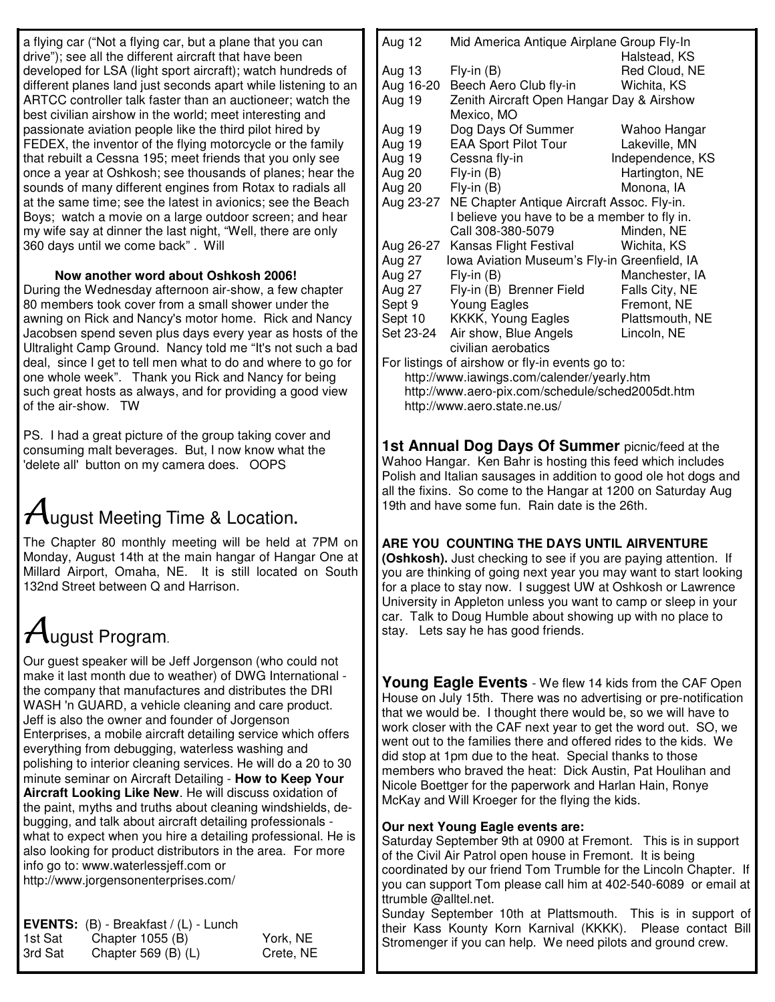a flying car ("Not a flying car, but a plane that you can drive"); see all the different aircraft that have been developed for LSA (light sport aircraft); watch hundreds of different planes land just seconds apart while listening to an ARTCC controller talk faster than an auctioneer; watch the best civilian airshow in the world; meet interesting and passionate aviation people like the third pilot hired by FEDEX, the inventor of the flying motorcycle or the family that rebuilt a Cessna 195; meet friends that you only see once a year at Oshkosh; see thousands of planes; hear the sounds of many different engines from Rotax to radials all at the same time; see the latest in avionics; see the Beach Boys; watch a movie on a large outdoor screen; and hear my wife say at dinner the last night, "Well, there are only 360 days until we come back" . Will

## **Now another word about Oshkosh 2006!**

During the Wednesday afternoon air-show, a few chapter 80 members took cover from a small shower under the awning on Rick and Nancy's motor home. Rick and Nancy Jacobsen spend seven plus days every year as hosts of the Ultralight Camp Ground. Nancy told me "It's not such a bad deal, since I get to tell men what to do and where to go for one whole week". Thank you Rick and Nancy for being such great hosts as always, and for providing a good view of the air-show. TW

PS. I had a great picture of the group taking cover and consuming malt beverages. But, I now know what the 'delete all' button on my camera does. OOPS

# ugust Meeting Time & Location**.**

The Chapter 80 monthly meeting will be held at 7PM on Monday, August 14th at the main hangar of Hangar One at Millard Airport, Omaha, NE. It is still located on South 132nd Street between Q and Harrison.

# $4$ ugust Program.

Our guest speaker will be Jeff Jorgenson (who could not make it last month due to weather) of DWG International the company that manufactures and distributes the DRI WASH 'n GUARD, a vehicle cleaning and care product. Jeff is also the owner and founder of Jorgenson Enterprises, a mobile aircraft detailing service which offers everything from debugging, waterless washing and polishing to interior cleaning services. He will do a 20 to 30 minute seminar on Aircraft Detailing - **How to Keep Your Aircraft Looking Like New**. He will discuss oxidation of the paint, myths and truths about cleaning windshields, debugging, and talk about aircraft detailing professionals what to expect when you hire a detailing professional. He is also looking for product distributors in the area. For more info go to: www.waterlessjeff.com or http://www.jorgensonenterprises.com/

|         | <b>EVENTS:</b> $(B)$ - Breakfast $/(L)$ - Lunch |           |
|---------|-------------------------------------------------|-----------|
| 1st Sat | Chapter $1055$ (B)                              | York, NE  |
| 3rd Sat | Chapter 569 $(B)$ $(L)$                         | Crete, NE |

| Aug 12    | Mid America Antique Airplane Group Fly-In    |                  |  |
|-----------|----------------------------------------------|------------------|--|
|           |                                              | Halstead, KS     |  |
| Aug 13    | $Fly-in(B)$                                  | Red Cloud, NE    |  |
| Aug 16-20 | Beech Aero Club fly-in                       | Wichita, KS      |  |
| Aug 19    | Zenith Aircraft Open Hangar Day & Airshow    |                  |  |
|           | Mexico, MO                                   |                  |  |
| Aug 19    | Dog Days Of Summer                           | Wahoo Hangar     |  |
| Aug 19    | <b>EAA Sport Pilot Tour</b>                  | Lakeville, MN    |  |
| Aug 19    | Cessna fly-in                                | Independence, KS |  |
| Aug 20    | $Fly-in(B)$                                  | Hartington, NE   |  |
| Aug 20    | $Fly-in(B)$                                  | Monona, IA       |  |
| Aug 23-27 | NE Chapter Antique Aircraft Assoc. Fly-in.   |                  |  |
|           | I believe you have to be a member to fly in. |                  |  |
|           | Call 308-380-5079                            | Minden, NE       |  |
| Aug 26-27 | Kansas Flight Festival                       | Wichita, KS      |  |
| Aug 27    | Iowa Aviation Museum's Fly-in Greenfield, IA |                  |  |
| Aug 27    | $Fly-in(B)$                                  | Manchester, IA   |  |
| Aug 27    | Fly-in (B) Brenner Field                     | Falls City, NE   |  |
| Sept 9    | <b>Young Eagles</b>                          | Fremont, NE      |  |
| Sept 10   | KKKK, Young Eagles                           | Plattsmouth, NE  |  |
| Set 23-24 | Air show, Blue Angels                        | Lincoln, NE      |  |
|           | civilian aerobatics                          |                  |  |

For listings of airshow or fly-in events go to: http://www.iawings.com/calender/yearly.htm http://www.aero-pix.com/schedule/sched2005dt.htm http://www.aero.state.ne.us/

**1st Annual Dog Days Of Summer** picnic/feed at the Wahoo Hangar. Ken Bahr is hosting this feed which includes Polish and Italian sausages in addition to good ole hot dogs and all the fixins. So come to the Hangar at 1200 on Saturday Aug 19th and have some fun. Rain date is the 26th.

## **ARE YOU COUNTING THE DAYS UNTIL AIRVENTURE**

**(Oshkosh).** Just checking to see if you are paying attention. If you are thinking of going next year you may want to start looking for a place to stay now. I suggest UW at Oshkosh or Lawrence University in Appleton unless you want to camp or sleep in your car. Talk to Doug Humble about showing up with no place to stay. Lets say he has good friends.

**Young Eagle Events** - We flew 14 kids from the CAF Open House on July 15th. There was no advertising or pre-notification that we would be. I thought there would be, so we will have to work closer with the CAF next year to get the word out. SO, we went out to the families there and offered rides to the kids. We did stop at 1pm due to the heat. Special thanks to those members who braved the heat: Dick Austin, Pat Houlihan and Nicole Boettger for the paperwork and Harlan Hain, Ronye McKay and Will Kroeger for the flying the kids.

## **Our next Young Eagle events are:**

Saturday September 9th at 0900 at Fremont. This is in support of the Civil Air Patrol open house in Fremont. It is being coordinated by our friend Tom Trumble for the Lincoln Chapter. If you can support Tom please call him at 402-540-6089 or email at ttrumble @alltel.net.

Sunday September 10th at Plattsmouth. This is in support of their Kass Kounty Korn Karnival (KKKK). Please contact Bill Stromenger if you can help. We need pilots and ground crew.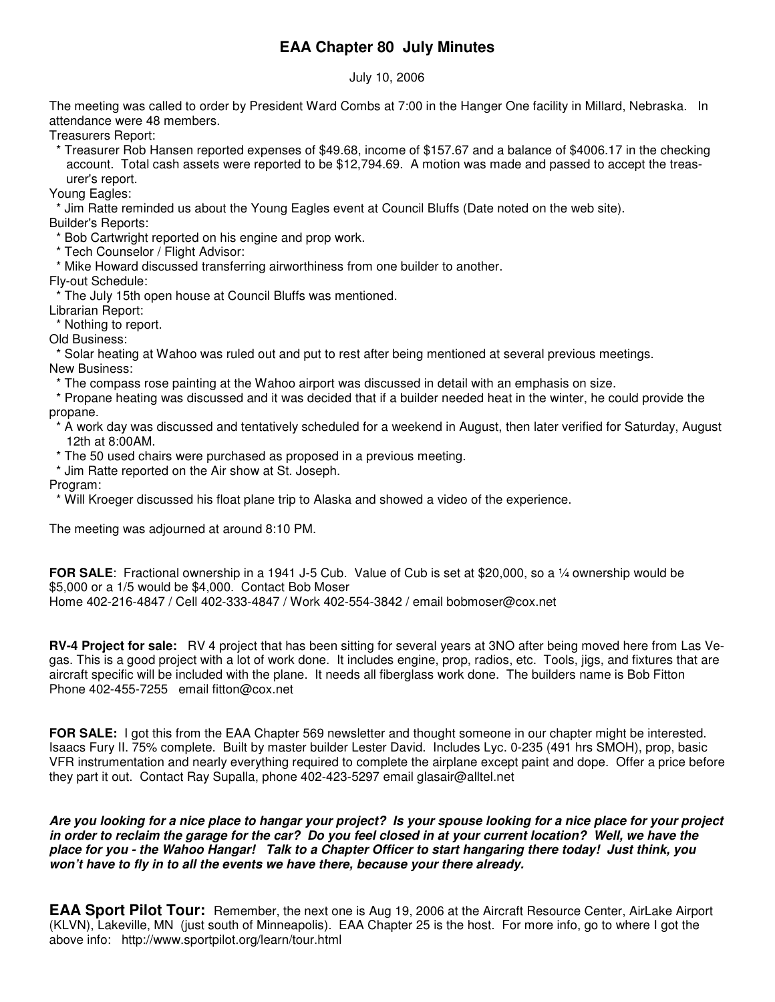# **EAA Chapter 80 July Minutes**

July 10, 2006

The meeting was called to order by President Ward Combs at 7:00 in the Hanger One facility in Millard, Nebraska. In attendance were 48 members.

Treasurers Report:

\* Treasurer Rob Hansen reported expenses of \$49.68, income of \$157.67 and a balance of \$4006.17 in the checking account. Total cash assets were reported to be \$12,794.69. A motion was made and passed to accept the treasurer's report.

Young Eagles:

\* Jim Ratte reminded us about the Young Eagles event at Council Bluffs (Date noted on the web site).

Builder's Reports:

- \* Bob Cartwright reported on his engine and prop work.
- \* Tech Counselor / Flight Advisor:
- \* Mike Howard discussed transferring airworthiness from one builder to another.

Fly-out Schedule:

\* The July 15th open house at Council Bluffs was mentioned.

Librarian Report:

\* Nothing to report.

Old Business:

\* Solar heating at Wahoo was ruled out and put to rest after being mentioned at several previous meetings. New Business:

\* The compass rose painting at the Wahoo airport was discussed in detail with an emphasis on size.

\* Propane heating was discussed and it was decided that if a builder needed heat in the winter, he could provide the propane.

\* A work day was discussed and tentatively scheduled for a weekend in August, then later verified for Saturday, August 12th at 8:00AM.

- \* The 50 used chairs were purchased as proposed in a previous meeting.
- \* Jim Ratte reported on the Air show at St. Joseph.

Program:

\* Will Kroeger discussed his float plane trip to Alaska and showed a video of the experience.

The meeting was adjourned at around 8:10 PM.

**FOR SALE**: Fractional ownership in a 1941 J-5 Cub. Value of Cub is set at \$20,000, so a ¼ ownership would be \$5,000 or a 1/5 would be \$4,000. Contact Bob Moser Home 402-216-4847 / Cell 402-333-4847 / Work 402-554-3842 / email bobmoser@cox.net

**RV-4 Project for sale:** RV 4 project that has been sitting for several years at 3NO after being moved here from Las Vegas. This is a good project with a lot of work done. It includes engine, prop, radios, etc. Tools, jigs, and fixtures that are aircraft specific will be included with the plane. It needs all fiberglass work done. The builders name is Bob Fitton Phone 402-455-7255 email fitton@cox.net

**FOR SALE:** I got this from the EAA Chapter 569 newsletter and thought someone in our chapter might be interested. Isaacs Fury II. 75% complete. Built by master builder Lester David. Includes Lyc. 0-235 (491 hrs SMOH), prop, basic VFR instrumentation and nearly everything required to complete the airplane except paint and dope. Offer a price before they part it out. Contact Ray Supalla, phone 402-423-5297 email glasair@alltel.net

Are you looking for a nice place to hangar your project? Is your spouse looking for a nice place for your project in order to reclaim the garage for the car? Do you feel closed in at your current location? Well, we have the place for you - the Wahoo Hangar! Talk to a Chapter Officer to start hangaring there today! Just think, you *won't have to fly in to all the events we have there, because your there already.*

**EAA Sport Pilot Tour:** Remember, the next one is Aug 19, 2006 at the Aircraft Resource Center, AirLake Airport (KLVN), Lakeville, MN (just south of Minneapolis). EAA Chapter 25 is the host. For more info, go to where I got the above info: http://www.sportpilot.org/learn/tour.html